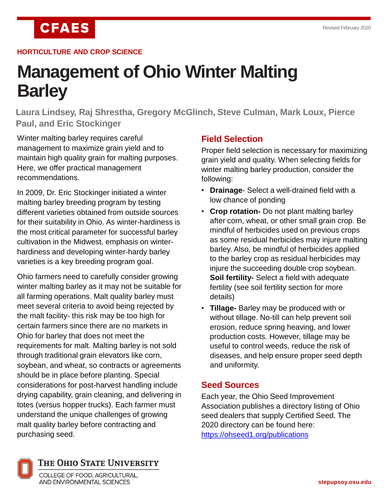**CFAES** 

#### **HORTICULTURE AND CROP SCIENCE**

# **Management of Ohio Winter Malting Barley**

**Laura Lindsey, Raj Shrestha, Gregory McGlinch, Steve Culman, Mark Loux, Pierce Paul, and Eric Stockinger**

Winter malting barley requires careful management to maximize grain yield and to maintain high quality grain for malting purposes. Here, we offer practical management recommendations.

In 2009, Dr. Eric Stockinger initiated a winter malting barley breeding program by testing different varieties obtained from outside sources for their suitability in Ohio. As winter-hardiness is the most critical parameter for successful barley cultivation in the Midwest, emphasis on winterhardiness and developing winter-hardy barley varieties is a key breeding program goal.

Ohio farmers need to carefully consider growing winter malting barley as it may not be suitable for all farming operations. Malt quality barley must meet several criteria to avoid being rejected by the malt facility- this risk may be too high for certain farmers since there are no markets in Ohio for barley that does not meet the requirements for malt. Malting barley is not sold through traditional grain elevators like corn, soybean, and wheat, so contracts or agreements should be in place before planting. Special considerations for post-harvest handling include drying capability, grain cleaning, and delivering in totes (versus hopper trucks). Each farmer must understand the unique challenges of growing malt quality barley before contracting and purchasing seed.

# **Field Selection**

Proper field selection is necessary for maximizing grain yield and quality. When selecting fields for winter malting barley production, consider the following:

- **Drainage** Select a well-drained field with a low chance of ponding
- **Crop rotation-** Do not plant malting barley after corn, wheat, or other small grain crop. Be mindful of herbicides used on previous crops as some residual herbicides may injure malting barley. Also, be mindful of herbicides applied to the barley crop as residual herbicides may injure the succeeding double crop soybean. **Soil fertility-** Select a field with adequate fertility (see soil fertility section for more details)
- **Tillage-** Barley may be produced with or without tillage. No-till can help prevent soil erosion, reduce spring heaving, and lower production costs. However, tillage may be useful to control weeds, reduce the risk of diseases, and help ensure proper seed depth and uniformity.

## **Seed Sources**

Each year, the Ohio Seed Improvement Association publishes a directory listing of Ohio seed dealers that supply Certified Seed. The 2020 directory can be found here: <https://ohseed1.org/publications>



## THE OHIO STATE UNIVERSITY

COLLEGE OF FOOD, AGRICULTURAL, AND ENVIRONMENTAL SCIENCES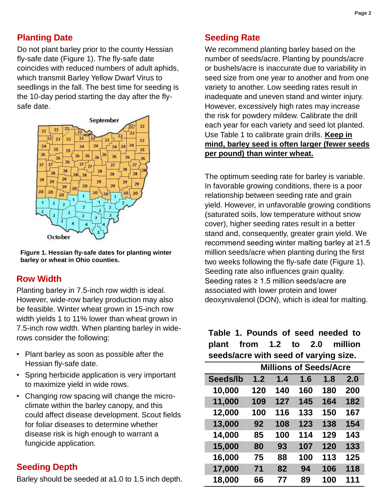# **Planting Date**

Do not plant barley prior to the county Hessian fly-safe date (Figure 1). The fly-safe date coincides with reduced numbers of adult aphids, which transmit Barley Yellow Dwarf Virus to seedlings in the fall. The best time for seeding is the 10-day period starting the day after the flysafe date.



**Figure 1. Hessian fly-safe dates for planting winter barley or wheat in Ohio counties.** 

## **Row Width**

Planting barley in 7.5-inch row width is ideal. However, wide-row barley production may also be feasible. Winter wheat grown in 15-inch row width yields 1 to 11% lower than wheat grown in 7.5-inch row width. When planting barley in widerows consider the following:

- Plant barley as soon as possible after the Hessian fly-safe date.
- Spring herbicide application is very important to maximize yield in wide rows.
- Changing row spacing will change the microclimate within the barley canopy, and this could affect disease development. Scout fields for foliar diseases to determine whether disease risk is high enough to warrant a fungicide application.

# **Seeding Depth**

Barley should be seeded at a1.0 to 1.5 inch depth.

# **Seeding Rate**

We recommend planting barley based on the number of seeds/acre. Planting by pounds/acre or bushels/acre is inaccurate due to variability in seed size from one year to another and from one variety to another. Low seeding rates result in inadequate and uneven stand and winter injury. However, excessively high rates may increase the risk for powdery mildew. Calibrate the drill each year for each variety and seed lot planted. Use Table 1 to calibrate grain drills. **Keep in mind, barley seed is often larger (fewer seeds per pound) than winter wheat.**

The optimum seeding rate for barley is variable. In favorable growing conditions, there is a poor relationship between seeding rate and grain yield. However, in unfavorable growing conditions (saturated soils, low temperature without snow cover), higher seeding rates result in a better stand and, consequently, greater grain yield. We recommend seeding winter malting barley at ≥1.5 million seeds/acre when planting during the first two weeks following the fly-safe date (Figure 1). Seeding rate also influences grain quality. Seeding rates ≥ 1.5 million seeds/acre are associated with lower protein and lower deoxynivalenol (DON), which is ideal for malting.

**Table 1. Pounds of seed needed to plant from 1.2 to 2.0 million seeds/acre with seed of varying size.**

|          | <b>Millions of Seeds/Acre</b> |     |     |     |     |
|----------|-------------------------------|-----|-----|-----|-----|
| Seeds/lb | 1.2                           | 1.4 | 1.6 | 1.8 | 2.0 |
| 10,000   | 120                           | 140 | 160 | 180 | 200 |
| 11,000   | 109                           | 127 | 145 | 164 | 182 |
| 12,000   | 100                           | 116 | 133 | 150 | 167 |
| 13,000   | 92                            | 108 | 123 | 138 | 154 |
| 14,000   | 85                            | 100 | 114 | 129 | 143 |
| 15,000   | 80                            | 93  | 107 | 120 | 133 |
| 16,000   | 75                            | 88  | 100 | 113 | 125 |
| 17,000   | 71                            | 82  | 94  | 106 | 118 |
| 18,000   | 66                            | 77  | 89  | 100 | 111 |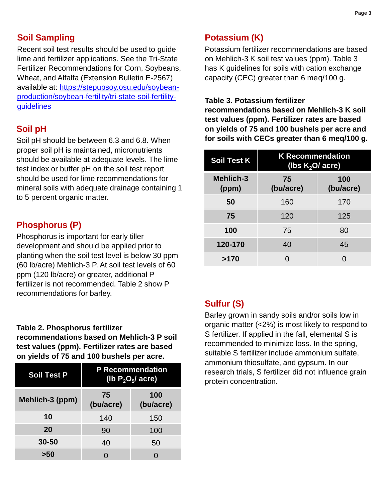## **Soil Sampling**

Recent soil test results should be used to guide lime and fertilizer applications. See the Tri-State Fertilizer Recommendations for Corn, Soybeans, Wheat, and Alfalfa (Extension Bulletin E-2567) available at: [https://stepupsoy.osu.edu/soybean](https://stepupsoy.osu.edu/soybean-production/soybean-fertility/tri-state-soil-fertility-guidelines)[production/soybean-fertility/tri-state-soil-fertility](https://stepupsoy.osu.edu/soybean-production/soybean-fertility/tri-state-soil-fertility-guidelines)**[guidelines](https://stepupsoy.osu.edu/soybean-production/soybean-fertility/tri-state-soil-fertility-guidelines)** 

## **Soil pH**

Soil pH should be between 6.3 and 6.8. When proper soil pH is maintained, micronutrients should be available at adequate levels. The lime test index or buffer pH on the soil test report should be used for lime recommendations for mineral soils with adequate drainage containing 1 to 5 percent organic matter.

## **Phosphorus (P)**

Phosphorus is important for early tiller development and should be applied prior to planting when the soil test level is below 30 ppm (60 lb/acre) Mehlich-3 P. At soil test levels of 60 ppm (120 lb/acre) or greater, additional P fertilizer is not recommended. Table 2 show P recommendations for barley.

#### **Table 2. Phosphorus fertilizer**

**recommendations based on Mehlich-3 P soil test values (ppm). Fertilizer rates are based on yields of 75 and 100 bushels per acre.**

| <b>Soil Test P</b> | <b>P</b> Recommendation<br>(lb $P_2O_5/$ acre) |                  |  |
|--------------------|------------------------------------------------|------------------|--|
| Mehlich-3 (ppm)    | 75<br>(bu/acre)                                | 100<br>(bu/acre) |  |
| 10                 | 140                                            | 150              |  |
| 20                 | 90                                             | 100              |  |
| $30 - 50$          | 40                                             | 50               |  |
| >50                |                                                |                  |  |

## **Potassium (K)**

Potassium fertilizer recommendations are based on Mehlich-3 K soil test values (ppm). Table 3 has K guidelines for soils with cation exchange capacity (CEC) greater than 6 meq/100 g.

#### **Table 3. Potassium fertilizer**

**recommendations based on Mehlich-3 K soil test values (ppm). Fertilizer rates are based on yields of 75 and 100 bushels per acre and for soils with CECs greater than 6 meq/100 g.**

| <b>Soil Test K</b>        | <b>K Recommendation</b><br>(lbs $K2O/$ acre) |                  |  |  |
|---------------------------|----------------------------------------------|------------------|--|--|
| <b>Mehlich-3</b><br>(ppm) | 75<br>(bu/acre)                              | 100<br>(bu/acre) |  |  |
| 50                        | 160                                          | 170              |  |  |
| 75                        | 120                                          | 125              |  |  |
| 100                       | 75                                           | 80               |  |  |
| 120-170                   | 40                                           | 45               |  |  |
| >170                      |                                              |                  |  |  |

## **Sulfur (S)**

Barley grown in sandy soils and/or soils low in organic matter (<2%) is most likely to respond to S fertilizer. If applied in the fall, elemental S is recommended to minimize loss. In the spring, suitable S fertilizer include ammonium sulfate, ammonium thiosulfate, and gypsum. In our research trials, S fertilizer did not influence grain protein concentration.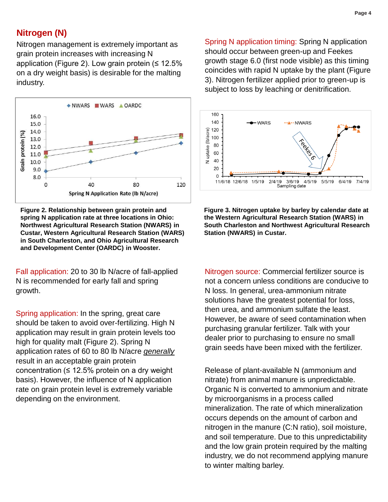# **Nitrogen (N)**

Nitrogen management is extremely important as grain protein increases with increasing N application (Figure 2). Low grain protein  $($ on a dry weight basis) is desirable for the malting industry.



**Figure 2. Relationship between grain protein and spring N application rate at three locations in Ohio: Northwest Agricultural Research Station (NWARS) in Custar, Western Agricultural Research Station (WARS) in South Charleston, and Ohio Agricultural Research and Development Center (OARDC) in Wooster.**

Fall application: 20 to 30 lb N/acre of fall-applied N is recommended for early fall and spring growth.

Spring application: In the spring, great care should be taken to avoid over-fertilizing. High N application may result in grain protein levels too high for quality malt (Figure 2). Spring N application rates of 60 to 80 lb N/acre *generally* result in an acceptable grain protein concentration ( $\leq 12.5\%$  protein on a dry weight basis). However, the influence of N application rate on grain protein level is extremely variable depending on the environment.

Spring N application timing: Spring N application should occur between green-up and Feekes growth stage 6.0 (first node visible) as this timing coincides with rapid N uptake by the plant (Figure 3). Nitrogen fertilizer applied prior to green-up is subject to loss by leaching or denitrification.



**Figure 3. Nitrogen uptake by barley by calendar date at the Western Agricultural Research Station (WARS) in South Charleston and Northwest Agricultural Research Station (NWARS) in Custar.**

Nitrogen source: Commercial fertilizer source is not a concern unless conditions are conducive to N loss. In general, urea-ammonium nitrate solutions have the greatest potential for loss, then urea, and ammonium sulfate the least. However, be aware of seed contamination when purchasing granular fertilizer. Talk with your dealer prior to purchasing to ensure no small grain seeds have been mixed with the fertilizer.

Release of plant-available N (ammonium and nitrate) from animal manure is unpredictable. Organic N is converted to ammonium and nitrate by microorganisms in a process called mineralization. The rate of which mineralization occurs depends on the amount of carbon and nitrogen in the manure (C:N ratio), soil moisture, and soil temperature. Due to this unpredictability and the low grain protein required by the malting industry, we do not recommend applying manure to winter malting barley.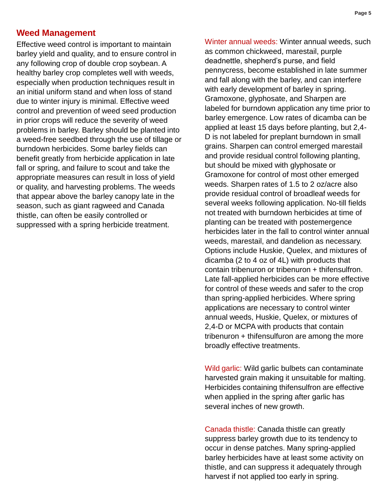## **Weed Management**

Effective weed control is important to maintain barley yield and quality, and to ensure control in any following crop of double crop soybean. A healthy barley crop completes well with weeds, especially when production techniques result in an initial uniform stand and when loss of stand due to winter injury is minimal. Effective weed control and prevention of weed seed production in prior crops will reduce the severity of weed problems in barley. Barley should be planted into a weed-free seedbed through the use of tillage or burndown herbicides. Some barley fields can benefit greatly from herbicide application in late fall or spring, and failure to scout and take the appropriate measures can result in loss of yield or quality, and harvesting problems. The weeds that appear above the barley canopy late in the season, such as giant ragweed and Canada thistle, can often be easily controlled or suppressed with a spring herbicide treatment.

Winter annual weeds: Winter annual weeds, such as common chickweed, marestail, purple deadnettle, shepherd's purse, and field pennycress, become established in late summer and fall along with the barley, and can interfere with early development of barley in spring. Gramoxone, glyphosate, and Sharpen are labeled for burndown application any time prior to barley emergence. Low rates of dicamba can be applied at least 15 days before planting, but 2,4- D is not labeled for preplant burndown in small grains. Sharpen can control emerged marestail and provide residual control following planting, but should be mixed with glyphosate or Gramoxone for control of most other emerged weeds. Sharpen rates of 1.5 to 2 oz/acre also provide residual control of broadleaf weeds for several weeks following application. No-till fields not treated with burndown herbicides at time of planting can be treated with postemergence herbicides later in the fall to control winter annual weeds, marestail, and dandelion as necessary. Options include Huskie, Quelex, and mixtures of dicamba (2 to 4 oz of 4L) with products that contain tribenuron or tribenuron + thifensulfron. Late fall-applied herbicides can be more effective for control of these weeds and safer to the crop than spring-applied herbicides. Where spring applications are necessary to control winter annual weeds, Huskie, Quelex, or mixtures of 2,4-D or MCPA with products that contain tribenuron + thifensulfuron are among the more broadly effective treatments.

Wild garlic: Wild garlic bulbets can contaminate harvested grain making it unsuitable for malting. Herbicides containing thifensulfron are effective when applied in the spring after garlic has several inches of new growth.

Canada thistle: Canada thistle can greatly suppress barley growth due to its tendency to occur in dense patches. Many spring-applied barley herbicides have at least some activity on thistle, and can suppress it adequately through harvest if not applied too early in spring.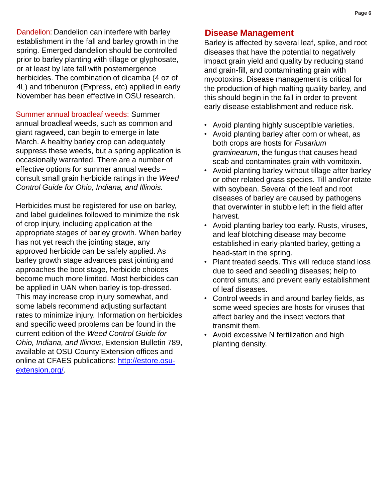Dandelion: Dandelion can interfere with barley establishment in the fall and barley growth in the spring. Emerged dandelion should be controlled prior to barley planting with tillage or glyphosate, or at least by late fall with postemergence herbicides. The combination of dicamba (4 oz of 4L) and tribenuron (Express, etc) applied in early November has been effective in OSU research.

Summer annual broadleaf weeds: Summer annual broadleaf weeds, such as common and giant ragweed, can begin to emerge in late March. A healthy barley crop can adequately suppress these weeds, but a spring application is occasionally warranted. There are a number of effective options for summer annual weeds – consult small grain herbicide ratings in the *Weed Control Guide for Ohio, Indiana, and Illinois.*

Herbicides must be registered for use on barley, and label guidelines followed to minimize the risk of crop injury, including application at the appropriate stages of barley growth. When barley has not yet reach the jointing stage, any approved herbicide can be safely applied. As barley growth stage advances past jointing and approaches the boot stage, herbicide choices become much more limited. Most herbicides can be applied in UAN when barley is top-dressed. This may increase crop injury somewhat, and some labels recommend adjusting surfactant rates to minimize injury. Information on herbicides and specific weed problems can be found in the current edition of the *Weed Control Guide for Ohio, Indiana, and Illinois*, Extension Bulletin 789, available at OSU County Extension offices and online at CFAES publications: [http://estore.osu](http://estore.osu-extension.org/)[extension.org/](http://estore.osu-extension.org/).

## **Disease Management**

Barley is affected by several leaf, spike, and root diseases that have the potential to negatively impact grain yield and quality by reducing stand and grain-fill, and contaminating grain with mycotoxins. Disease management is critical for the production of high malting quality barley, and this should begin in the fall in order to prevent early disease establishment and reduce risk.

- Avoid planting highly susceptible varieties.
- Avoid planting barley after corn or wheat, as both crops are hosts for *Fusarium graminearum*, the fungus that causes head scab and contaminates grain with vomitoxin.
- Avoid planting barley without tillage after barley or other related grass species. Till and/or rotate with soybean. Several of the leaf and root diseases of barley are caused by pathogens that overwinter in stubble left in the field after harvest.
- Avoid planting barley too early. Rusts, viruses, and leaf blotching disease may become established in early-planted barley, getting a head-start in the spring.
- Plant treated seeds. This will reduce stand loss due to seed and seedling diseases; help to control smuts; and prevent early establishment of leaf diseases.
- Control weeds in and around barley fields, as some weed species are hosts for viruses that affect barley and the insect vectors that transmit them.
- Avoid excessive N fertilization and high planting density.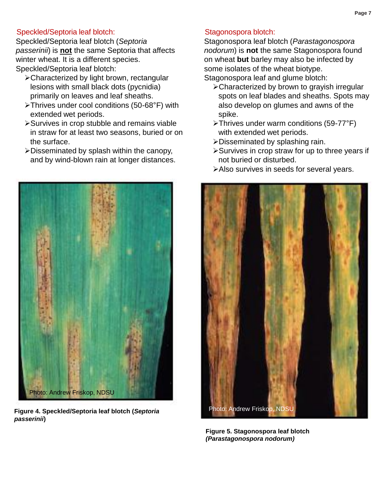#### Speckled/Septoria leaf blotch:

Speckled/Septoria leaf blotch (*Septoria passerinii*) is **not** the same Septoria that affects winter wheat. It is a different species. Speckled/Septoria leaf blotch:

- Characterized by light brown, rectangular lesions with small black dots (pycnidia) primarily on leaves and leaf sheaths.
- Thrives under cool conditions (50-68°F) with extended wet periods.
- Survives in crop stubble and remains viable in straw for at least two seasons, buried or on the surface.
- Disseminated by splash within the canopy, and by wind-blown rain at longer distances.



**Figure 4. Speckled/Septoria leaf blotch (***Septoria passerinii***)** 

#### Stagonospora blotch:

Stagonospora leaf blotch (*Parastagonospora nodorum*) is **not** the same Stagonospora found on wheat **but** barley may also be infected by some isolates of the wheat biotype.

Stagonospora leaf and glume blotch:

- Characterized by brown to grayish irregular spots on leaf blades and sheaths. Spots may also develop on glumes and awns of the spike.
- Thrives under warm conditions (59-77°F) with extended wet periods.
- Disseminated by splashing rain.
- **≻Survives in crop straw for up to three years if** not buried or disturbed.
- Also survives in seeds for several years.



**Figure 5. Stagonospora leaf blotch**  *(Parastagonospora nodorum)*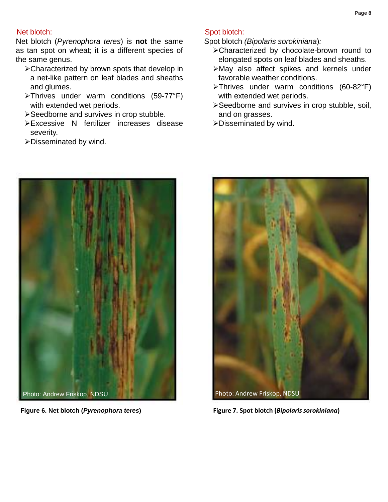#### Net blotch:

Net blotch (*Pyrenophora teres*) is **not** the same as tan spot on wheat; it is a different species of the same genus.

- Characterized by brown spots that develop in a net-like pattern on leaf blades and sheaths and glumes.
- Thrives under warm conditions (59-77°F) with extended wet periods.
- Seedborne and survives in crop stubble.
- Excessive N fertilizer increases disease severity.
- Disseminated by wind.



Spot blotch *(Bipolaris sorokiniana*)*:*

- Characterized by chocolate-brown round to elongated spots on leaf blades and sheaths.
- May also affect spikes and kernels under favorable weather conditions.
- Thrives under warm conditions (60-82°F) with extended wet periods.
- Seedborne and survives in crop stubble, soil, and on grasses.
- Disseminated by wind.



**Figure 6. Net blotch (***Pyrenophora teres***)**



**Figure 7. Spot blotch (***Bipolaris sorokiniana***)**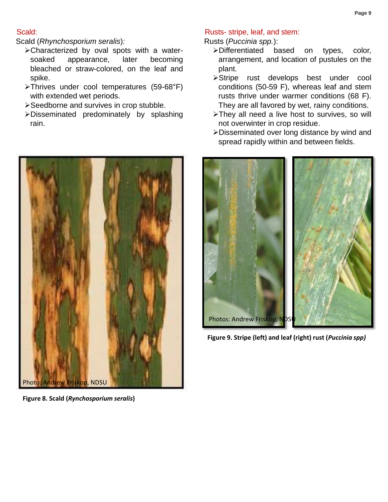#### Scald:

Scald (*Rhynchosporium seralis*)*:*

- Characterized by oval spots with a watersoaked appearance, later becoming bleached or straw-colored, on the leaf and spike.
- Thrives under cool temperatures (59-68°F) with extended wet periods.
- **≻Seedborne and survives in crop stubble.**
- Disseminated predominately by splashing rain.



**Figure 8. Scald (***Rynchosporium seralis***)**

#### Rusts- stripe, leaf, and stem:

Rusts (*Puccinia spp.*):

- Differentiated based on types, color, arrangement, and location of pustules on the plant.
- Stripe rust develops best under cool conditions (50-59 F), whereas leaf and stem rusts thrive under warmer conditions (68 F). They are all favored by wet, rainy conditions.
- >They all need a live host to survives, so will not overwinter in crop residue.
- Disseminated over long distance by wind and spread rapidly within and between fields.



**Figure 9. Stripe (left) and leaf (right) rust (***Puccinia spp)*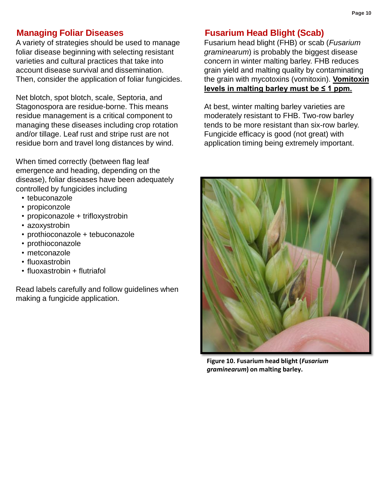## **Managing Foliar Diseases**

A variety of strategies should be used to manage foliar disease beginning with selecting resistant varieties and cultural practices that take into account disease survival and dissemination. Then, consider the application of foliar fungicides.

Net blotch, spot blotch, scale, Septoria, and Stagonospora are residue-borne. This means residue management is a critical component to managing these diseases including crop rotation and/or tillage. Leaf rust and stripe rust are not residue born and travel long distances by wind.

When timed correctly (between flag leaf emergence and heading, depending on the disease), foliar diseases have been adequately controlled by fungicides including

- tebuconazole
- propiconzole
- propiconazole + trifloxystrobin
- azoxystrobin
- prothioconazole + tebuconazole
- prothioconazole
- metconazole
- fluoxastrobin
- fluoxastrobin + flutriafol

Read labels carefully and follow guidelines when making a fungicide application.

## **Fusarium Head Blight (Scab)**

Fusarium head blight (FHB) or scab (*Fusarium graminearum*) is probably the biggest disease concern in winter malting barley. FHB reduces grain yield and malting quality by contaminating the grain with mycotoxins (vomitoxin). **Vomitoxin levels in malting barley must be ≤ 1 ppm.** 

At best, winter malting barley varieties are moderately resistant to FHB. Two-row barley tends to be more resistant than six-row barley. Fungicide efficacy is good (not great) with application timing being extremely important.



**Figure 10. Fusarium head blight (***Fusarium graminearum***) on malting barley.**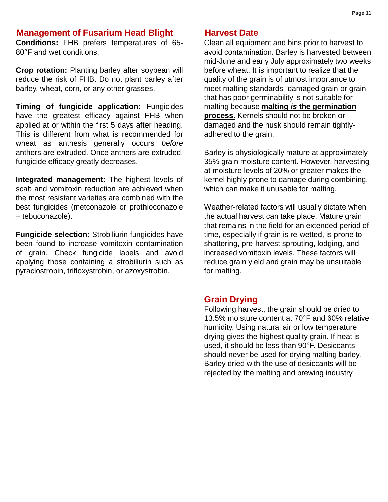### **Management of Fusarium Head Blight**

**Conditions:** FHB prefers temperatures of 65- 80°F and wet conditions.

**Crop rotation:** Planting barley after soybean will reduce the risk of FHB. Do not plant barley after barley, wheat, corn, or any other grasses.

**Timing of fungicide application:** Fungicides have the greatest efficacy against FHB when applied at or within the first 5 days after heading. This is different from what is recommended for wheat as anthesis generally occurs *before* anthers are extruded. Once anthers are extruded, fungicide efficacy greatly decreases.

**Integrated management:** The highest levels of scab and vomitoxin reduction are achieved when the most resistant varieties are combined with the best fungicides (metconazole or prothioconazole + tebuconazole).

**Fungicide selection:** Strobiliurin fungicides have been found to increase vomitoxin contamination of grain. Check fungicide labels and avoid applying those containing a strobiliurin such as pyraclostrobin, trifloxystrobin, or azoxystrobin.

#### **Harvest Date**

Clean all equipment and bins prior to harvest to avoid contamination. Barley is harvested between mid-June and early July approximately two weeks before wheat. It is important to realize that the quality of the grain is of utmost importance to meet malting standards- damaged grain or grain that has poor germinability is not suitable for malting because **malting** *is* **the germination process.** Kernels should not be broken or damaged and the husk should remain tightlyadhered to the grain.

Barley is physiologically mature at approximately 35% grain moisture content. However, harvesting at moisture levels of 20% or greater makes the kernel highly prone to damage during combining, which can make it unusable for malting.

Weather-related factors will usually dictate when the actual harvest can take place. Mature grain that remains in the field for an extended period of time, especially if grain is re-wetted, is prone to shattering, pre-harvest sprouting, lodging, and increased vomitoxin levels. These factors will reduce grain yield and grain may be unsuitable for malting.

#### **Grain Drying**

Following harvest, the grain should be dried to 13.5% moisture content at 70°F and 60% relative humidity. Using natural air or low temperature drying gives the highest quality grain. If heat is used, it should be less than 90°F. Desiccants should never be used for drying malting barley. Barley dried with the use of desiccants will be rejected by the malting and brewing industry